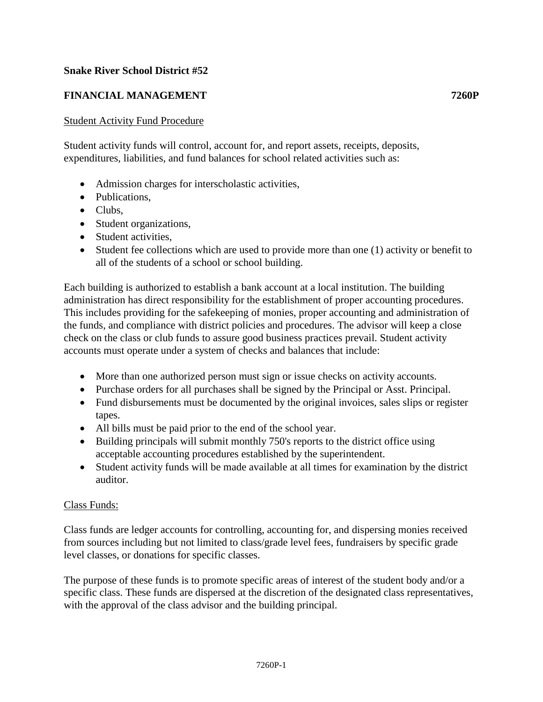## **Snake River School District #52**

# **FINANCIAL MANAGEMENT 7260P**

#### Student Activity Fund Procedure

Student activity funds will control, account for, and report assets, receipts, deposits, expenditures, liabilities, and fund balances for school related activities such as:

- Admission charges for interscholastic activities,
- Publications.
- Clubs,
- Student organizations,
- Student activities.
- Student fee collections which are used to provide more than one (1) activity or benefit to all of the students of a school or school building.

Each building is authorized to establish a bank account at a local institution. The building administration has direct responsibility for the establishment of proper accounting procedures. This includes providing for the safekeeping of monies, proper accounting and administration of the funds, and compliance with district policies and procedures. The advisor will keep a close check on the class or club funds to assure good business practices prevail. Student activity accounts must operate under a system of checks and balances that include:

- More than one authorized person must sign or issue checks on activity accounts.
- Purchase orders for all purchases shall be signed by the Principal or Asst. Principal.
- Fund disbursements must be documented by the original invoices, sales slips or register tapes.
- All bills must be paid prior to the end of the school year.
- Building principals will submit monthly 750's reports to the district office using acceptable accounting procedures established by the superintendent.
- Student activity funds will be made available at all times for examination by the district auditor.

## Class Funds:

Class funds are ledger accounts for controlling, accounting for, and dispersing monies received from sources including but not limited to class/grade level fees, fundraisers by specific grade level classes, or donations for specific classes.

The purpose of these funds is to promote specific areas of interest of the student body and/or a specific class. These funds are dispersed at the discretion of the designated class representatives, with the approval of the class advisor and the building principal.